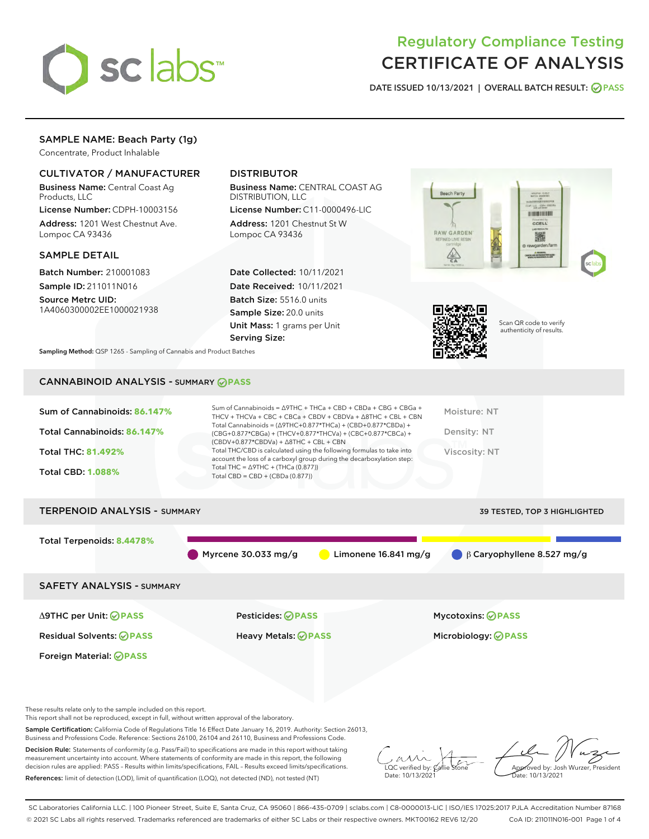

# Regulatory Compliance Testing CERTIFICATE OF ANALYSIS

DATE ISSUED 10/13/2021 | OVERALL BATCH RESULT: @ PASS

## SAMPLE NAME: Beach Party (1g)

Concentrate, Product Inhalable

## CULTIVATOR / MANUFACTURER

Business Name: Central Coast Ag Products, LLC

License Number: CDPH-10003156 Address: 1201 West Chestnut Ave. Lompoc CA 93436

## SAMPLE DETAIL

Batch Number: 210001083 Sample ID: 211011N016

Source Metrc UID: 1A4060300002EE1000021938

## DISTRIBUTOR

Business Name: CENTRAL COAST AG DISTRIBUTION, LLC

License Number: C11-0000496-LIC Address: 1201 Chestnut St W Lompoc CA 93436

Date Collected: 10/11/2021 Date Received: 10/11/2021 Batch Size: 5516.0 units Sample Size: 20.0 units Unit Mass: 1 grams per Unit Serving Size:





Scan QR code to verify authenticity of results.

Sampling Method: QSP 1265 - Sampling of Cannabis and Product Batches

## CANNABINOID ANALYSIS - SUMMARY **PASS**

| Sum of Cannabinoids: 86.147%<br>Total Cannabinoids: 86.147%<br>Total THC: 81.492%<br><b>Total CBD: 1.088%</b> | Sum of Cannabinoids = $\triangle$ 9THC + THCa + CBD + CBDa + CBG + CBGa +<br>THCV + THCVa + CBC + CBCa + CBDV + CBDVa + $\Delta$ 8THC + CBL + CBN<br>Total Cannabinoids = $(\Delta$ 9THC+0.877*THCa) + (CBD+0.877*CBDa) +<br>(CBG+0.877*CBGa) + (THCV+0.877*THCVa) + (CBC+0.877*CBCa) +<br>$(CBDV+0.877*CBDVa) + \Delta 8THC + CBL + CBN$<br>Total THC/CBD is calculated using the following formulas to take into<br>account the loss of a carboxyl group during the decarboxylation step:<br>Total THC = $\triangle$ 9THC + (THCa (0.877))<br>Total CBD = $CBD + (CBDa (0.877))$ | Moisture: NT<br>Density: NT<br>Viscosity: NT |  |  |  |  |
|---------------------------------------------------------------------------------------------------------------|------------------------------------------------------------------------------------------------------------------------------------------------------------------------------------------------------------------------------------------------------------------------------------------------------------------------------------------------------------------------------------------------------------------------------------------------------------------------------------------------------------------------------------------------------------------------------------|----------------------------------------------|--|--|--|--|
| <b>TERPENOID ANALYSIS - SUMMARY</b><br><b>39 TESTED, TOP 3 HIGHLIGHTED</b>                                    |                                                                                                                                                                                                                                                                                                                                                                                                                                                                                                                                                                                    |                                              |  |  |  |  |
| Total Terpenoids: 8.4478%                                                                                     | Myrcene 30.033 mg/g<br>Limonene $16.841$ mg/g                                                                                                                                                                                                                                                                                                                                                                                                                                                                                                                                      | $\beta$ Caryophyllene 8.527 mg/g             |  |  |  |  |
| <b>SAFETY ANALYSIS - SUMMARY</b>                                                                              |                                                                                                                                                                                                                                                                                                                                                                                                                                                                                                                                                                                    |                                              |  |  |  |  |
| ∆9THC per Unit: ⊘PASS                                                                                         | Pesticides: ⊘PASS                                                                                                                                                                                                                                                                                                                                                                                                                                                                                                                                                                  | <b>Mycotoxins: ⊘PASS</b>                     |  |  |  |  |
| <b>Residual Solvents: ⊘PASS</b>                                                                               | Heavy Metals: <b>OPASS</b>                                                                                                                                                                                                                                                                                                                                                                                                                                                                                                                                                         | Microbiology: <b>OPASS</b>                   |  |  |  |  |
| Foreign Material: <b>⊘ PASS</b>                                                                               |                                                                                                                                                                                                                                                                                                                                                                                                                                                                                                                                                                                    |                                              |  |  |  |  |

These results relate only to the sample included on this report.

This report shall not be reproduced, except in full, without written approval of the laboratory.

Sample Certification: California Code of Regulations Title 16 Effect Date January 16, 2019. Authority: Section 26013, Business and Professions Code. Reference: Sections 26100, 26104 and 26110, Business and Professions Code.

Decision Rule: Statements of conformity (e.g. Pass/Fail) to specifications are made in this report without taking measurement uncertainty into account. Where statements of conformity are made in this report, the following decision rules are applied: PASS – Results within limits/specifications, FAIL – Results exceed limits/specifications. References: limit of detection (LOD), limit of quantification (LOQ), not detected (ND), not tested (NT)

 $\sim$  CC verified by:  $\mathcal{C}$ allie Date: 10/13/2021

Approved by: Josh Wurzer, President Date: 10/13/2021

SC Laboratories California LLC. | 100 Pioneer Street, Suite E, Santa Cruz, CA 95060 | 866-435-0709 | sclabs.com | C8-0000013-LIC | ISO/IES 17025:2017 PJLA Accreditation Number 87168 © 2021 SC Labs all rights reserved. Trademarks referenced are trademarks of either SC Labs or their respective owners. MKT00162 REV6 12/20 CoA ID: 211011N016-001 Page 1 of 4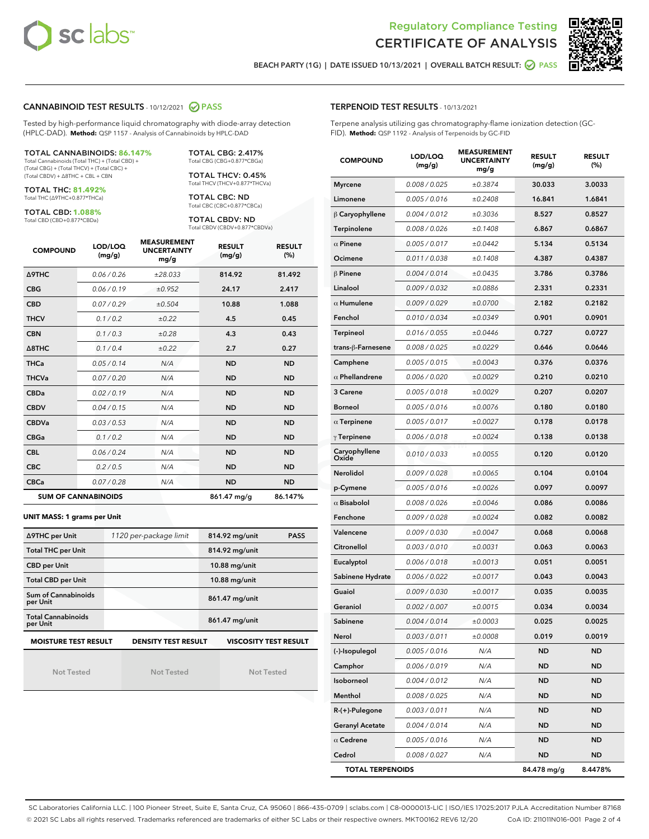



BEACH PARTY (1G) | DATE ISSUED 10/13/2021 | OVERALL BATCH RESULT:  $\bigcirc$  PASS

### CANNABINOID TEST RESULTS - 10/12/2021 2 PASS

Tested by high-performance liquid chromatography with diode-array detection (HPLC-DAD). **Method:** QSP 1157 - Analysis of Cannabinoids by HPLC-DAD

#### TOTAL CANNABINOIDS: **86.147%**

Total Cannabinoids (Total THC) + (Total CBD) + (Total CBG) + (Total THCV) + (Total CBC) + (Total CBDV) + ∆8THC + CBL + CBN

TOTAL THC: **81.492%** Total THC (∆9THC+0.877\*THCa)

TOTAL CBD: **1.088%**

Total CBD (CBD+0.877\*CBDa)

TOTAL CBG: 2.417% Total CBG (CBG+0.877\*CBGa)

TOTAL THCV: 0.45% Total THCV (THCV+0.877\*THCVa)

TOTAL CBC: ND Total CBC (CBC+0.877\*CBCa)

TOTAL CBDV: ND Total CBDV (CBDV+0.877\*CBDVa)

| <b>COMPOUND</b>            | LOD/LOQ<br>(mg/g) | <b>MEASUREMENT</b><br><b>UNCERTAINTY</b><br>mg/g | <b>RESULT</b><br>(mg/g) | <b>RESULT</b><br>(%) |
|----------------------------|-------------------|--------------------------------------------------|-------------------------|----------------------|
| <b>A9THC</b>               | 0.06 / 0.26       | ±28.033                                          | 814.92                  | 81.492               |
| <b>CBG</b>                 | 0.06 / 0.19       | ±0.952                                           | 24.17                   | 2.417                |
| <b>CBD</b>                 | 0.07/0.29         | ±0.504                                           | 10.88                   | 1.088                |
| <b>THCV</b>                | 0.1 / 0.2         | ±0.22                                            | 4.5                     | 0.45                 |
| <b>CBN</b>                 | 0.1 / 0.3         | ±0.28                                            | 4.3                     | 0.43                 |
| $\triangle$ 8THC           | 0.1 / 0.4         | $\pm 0.22$                                       | 2.7                     | 0.27                 |
| <b>THCa</b>                | 0.05/0.14         | N/A                                              | <b>ND</b>               | <b>ND</b>            |
| <b>THCVa</b>               | 0.07/0.20         | N/A                                              | <b>ND</b>               | <b>ND</b>            |
| <b>CBDa</b>                | 0.02/0.19         | N/A                                              | <b>ND</b>               | <b>ND</b>            |
| <b>CBDV</b>                | 0.04 / 0.15       | N/A                                              | <b>ND</b>               | <b>ND</b>            |
| <b>CBDVa</b>               | 0.03/0.53         | N/A                                              | <b>ND</b>               | <b>ND</b>            |
| <b>CBGa</b>                | 0.1/0.2           | N/A                                              | <b>ND</b>               | <b>ND</b>            |
| <b>CBL</b>                 | 0.06 / 0.24       | N/A                                              | <b>ND</b>               | <b>ND</b>            |
| <b>CBC</b>                 | 0.2 / 0.5         | N/A                                              | <b>ND</b>               | <b>ND</b>            |
| <b>CBCa</b>                | 0.07/0.28         | N/A                                              | <b>ND</b>               | <b>ND</b>            |
| <b>SUM OF CANNABINOIDS</b> |                   |                                                  | 861.47 mg/g             | 86.147%              |

#### **UNIT MASS: 1 grams per Unit**

| ∆9THC per Unit                        | 1120 per-package limit     | 814.92 mg/unit<br><b>PASS</b> |
|---------------------------------------|----------------------------|-------------------------------|
| <b>Total THC per Unit</b>             |                            | 814.92 mg/unit                |
| <b>CBD per Unit</b>                   |                            | $10.88$ mg/unit               |
| <b>Total CBD per Unit</b>             |                            | $10.88$ mg/unit               |
| Sum of Cannabinoids<br>per Unit       |                            | 861.47 mg/unit                |
| <b>Total Cannabinoids</b><br>per Unit |                            | 861.47 mg/unit                |
| <b>MOISTURE TEST RESULT</b>           | <b>DENSITY TEST RESULT</b> | <b>VISCOSITY TEST RESULT</b>  |

Not Tested

Not Tested

Not Tested

TERPENOID TEST RESULTS - 10/13/2021

Terpene analysis utilizing gas chromatography-flame ionization detection (GC-FID). **Method:** QSP 1192 - Analysis of Terpenoids by GC-FID

| <b>COMPOUND</b>         | LOD/LOQ<br>(mg/g) | <b>MEASUREMENT</b><br><b>UNCERTAINTY</b><br>mg/g | <b>RESULT</b><br>(mg/g) | <b>RESULT</b><br>(%) |
|-------------------------|-------------------|--------------------------------------------------|-------------------------|----------------------|
| <b>Myrcene</b>          | 0.008 / 0.025     | ±0.3874                                          | 30.033                  | 3.0033               |
| Limonene                | 0.005 / 0.016     | ±0.2408                                          | 16.841                  | 1.6841               |
| $\upbeta$ Caryophyllene | 0.004 / 0.012     | ±0.3036                                          | 8.527                   | 0.8527               |
| Terpinolene             | 0.008 / 0.026     | ±0.1408                                          | 6.867                   | 0.6867               |
| $\alpha$ Pinene         | 0.005 / 0.017     | ±0.0442                                          | 5.134                   | 0.5134               |
| Ocimene                 | 0.011 / 0.038     | ±0.1408                                          | 4.387                   | 0.4387               |
| $\beta$ Pinene          | 0.004 / 0.014     | ±0.0435                                          | 3.786                   | 0.3786               |
| Linalool                | 0.009 / 0.032     | ±0.0886                                          | 2.331                   | 0.2331               |
| $\alpha$ Humulene       | 0.009/0.029       | ±0.0700                                          | 2.182                   | 0.2182               |
| Fenchol                 | 0.010 / 0.034     | ±0.0349                                          | 0.901                   | 0.0901               |
| Terpineol               | 0.016 / 0.055     | ±0.0446                                          | 0.727                   | 0.0727               |
| trans-β-Farnesene       | 0.008 / 0.025     | ±0.0229                                          | 0.646                   | 0.0646               |
| Camphene                | 0.005 / 0.015     | ±0.0043                                          | 0.376                   | 0.0376               |
| $\alpha$ Phellandrene   | 0.006 / 0.020     | ±0.0029                                          | 0.210                   | 0.0210               |
| 3 Carene                | 0.005 / 0.018     | ±0.0029                                          | 0.207                   | 0.0207               |
| <b>Borneol</b>          | 0.005 / 0.016     | ±0.0076                                          | 0.180                   | 0.0180               |
| $\alpha$ Terpinene      | 0.005 / 0.017     | ±0.0027                                          | 0.178                   | 0.0178               |
| $\gamma$ Terpinene      | 0.006 / 0.018     | ±0.0024                                          | 0.138                   | 0.0138               |
| Caryophyllene<br>Oxide  | 0.010 / 0.033     | ±0.0055                                          | 0.120                   | 0.0120               |
| Nerolidol               | 0.009 / 0.028     | ±0.0065                                          | 0.104                   | 0.0104               |
| p-Cymene                | 0.005 / 0.016     | ±0.0026                                          | 0.097                   | 0.0097               |
| $\alpha$ Bisabolol      | 0.008 / 0.026     | ±0.0046                                          | 0.086                   | 0.0086               |
| Fenchone                | 0.009 / 0.028     | ±0.0024                                          | 0.082                   | 0.0082               |
| Valencene               | 0.009 / 0.030     | ±0.0047                                          | 0.068                   | 0.0068               |
| Citronellol             | 0.003 / 0.010     | ±0.0031                                          | 0.063                   | 0.0063               |
| Eucalyptol              | 0.006 / 0.018     | ±0.0013                                          | 0.051                   | 0.0051               |
| Sabinene Hydrate        | 0.006 / 0.022     | ±0.0017                                          | 0.043                   | 0.0043               |
| Guaiol                  | 0.009 / 0.030     | ±0.0017                                          | 0.035                   | 0.0035               |
| Geraniol                | 0.002 / 0.007     | ±0.0015                                          | 0.034                   | 0.0034               |
| Sabinene                | 0.004 / 0.014     | ±0.0003                                          | 0.025                   | 0.0025               |
| Nerol                   | 0.003 / 0.011     | ±0.0008                                          | 0.019                   | 0.0019               |
| (-)-Isopulegol          | 0.005 / 0.016     | N/A                                              | <b>ND</b>               | ND                   |
| Camphor                 | 0.006 / 0.019     | N/A                                              | ND                      | ND                   |
| Isoborneol              | 0.004 / 0.012     | N/A                                              | ND                      | ND                   |
| Menthol                 | 0.008 / 0.025     | N/A                                              | ND                      | ND                   |
| R-(+)-Pulegone          | 0.003 / 0.011     | N/A                                              | ND                      | ND                   |
| <b>Geranyl Acetate</b>  | 0.004 / 0.014     | N/A                                              | ND                      | ND                   |
| $\alpha$ Cedrene        | 0.005 / 0.016     | N/A                                              | ND                      | ND                   |
| Cedrol                  | 0.008 / 0.027     | N/A                                              | ND                      | ND                   |
| <b>TOTAL TERPENOIDS</b> |                   |                                                  | 84.478 mg/g             | 8.4478%              |

SC Laboratories California LLC. | 100 Pioneer Street, Suite E, Santa Cruz, CA 95060 | 866-435-0709 | sclabs.com | C8-0000013-LIC | ISO/IES 17025:2017 PJLA Accreditation Number 87168 © 2021 SC Labs all rights reserved. Trademarks referenced are trademarks of either SC Labs or their respective owners. MKT00162 REV6 12/20 CoA ID: 211011N016-001 Page 2 of 4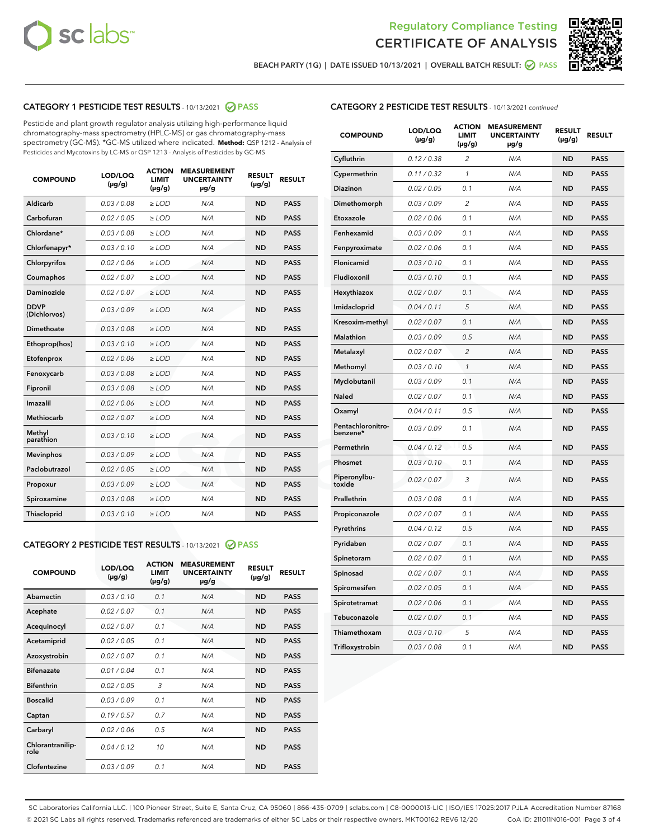



BEACH PARTY (1G) | DATE ISSUED 10/13/2021 | OVERALL BATCH RESULT: 2 PASS

## CATEGORY 1 PESTICIDE TEST RESULTS - 10/13/2021 2 PASS

Pesticide and plant growth regulator analysis utilizing high-performance liquid chromatography-mass spectrometry (HPLC-MS) or gas chromatography-mass spectrometry (GC-MS). \*GC-MS utilized where indicated. **Method:** QSP 1212 - Analysis of Pesticides and Mycotoxins by LC-MS or QSP 1213 - Analysis of Pesticides by GC-MS

| <b>COMPOUND</b>             | LOD/LOQ<br>$(\mu g/g)$ | <b>ACTION</b><br><b>LIMIT</b><br>$(\mu g/g)$ | <b>MEASUREMENT</b><br><b>UNCERTAINTY</b><br>µg/g | <b>RESULT</b><br>$(\mu g/g)$ | <b>RESULT</b> |
|-----------------------------|------------------------|----------------------------------------------|--------------------------------------------------|------------------------------|---------------|
| Aldicarb                    | 0.03/0.08              | $>$ LOD                                      | N/A                                              | <b>ND</b>                    | <b>PASS</b>   |
| Carbofuran                  | 0.02 / 0.05            | $\ge$ LOD                                    | N/A                                              | <b>ND</b>                    | <b>PASS</b>   |
| Chlordane*                  | 0.03/0.08              | $>$ LOD                                      | N/A                                              | <b>ND</b>                    | <b>PASS</b>   |
| Chlorfenapyr*               | 0.03/0.10              | $\ge$ LOD                                    | N/A                                              | <b>ND</b>                    | <b>PASS</b>   |
| Chlorpyrifos                | 0.02 / 0.06            | $\ge$ LOD                                    | N/A                                              | <b>ND</b>                    | <b>PASS</b>   |
| Coumaphos                   | 0.02 / 0.07            | $\ge$ LOD                                    | N/A                                              | <b>ND</b>                    | <b>PASS</b>   |
| Daminozide                  | 0.02 / 0.07            | $\ge$ LOD                                    | N/A                                              | <b>ND</b>                    | <b>PASS</b>   |
| <b>DDVP</b><br>(Dichlorvos) | 0.03/0.09              | $\ge$ LOD                                    | N/A                                              | <b>ND</b>                    | <b>PASS</b>   |
| <b>Dimethoate</b>           | 0.03/0.08              | $\ge$ LOD                                    | N/A                                              | <b>ND</b>                    | <b>PASS</b>   |
| Ethoprop(hos)               | 0.03/0.10              | $\ge$ LOD                                    | N/A                                              | <b>ND</b>                    | <b>PASS</b>   |
| Etofenprox                  | 0.02 / 0.06            | $\ge$ LOD                                    | N/A                                              | <b>ND</b>                    | <b>PASS</b>   |
| Fenoxycarb                  | 0.03 / 0.08            | $\ge$ LOD                                    | N/A                                              | <b>ND</b>                    | <b>PASS</b>   |
| Fipronil                    | 0.03/0.08              | $>$ LOD                                      | N/A                                              | <b>ND</b>                    | <b>PASS</b>   |
| Imazalil                    | 0.02 / 0.06            | $\ge$ LOD                                    | N/A                                              | <b>ND</b>                    | <b>PASS</b>   |
| Methiocarb                  | 0.02 / 0.07            | $\ge$ LOD                                    | N/A                                              | <b>ND</b>                    | <b>PASS</b>   |
| Methyl<br>parathion         | 0.03/0.10              | $\ge$ LOD                                    | N/A                                              | <b>ND</b>                    | <b>PASS</b>   |
| <b>Mevinphos</b>            | 0.03/0.09              | $\ge$ LOD                                    | N/A                                              | <b>ND</b>                    | <b>PASS</b>   |
| Paclobutrazol               | 0.02 / 0.05            | $>$ LOD                                      | N/A                                              | <b>ND</b>                    | <b>PASS</b>   |
| Propoxur                    | 0.03/0.09              | $\ge$ LOD                                    | N/A                                              | <b>ND</b>                    | <b>PASS</b>   |
| Spiroxamine                 | 0.03 / 0.08            | $\ge$ LOD                                    | N/A                                              | <b>ND</b>                    | <b>PASS</b>   |
| Thiacloprid                 | 0.03/0.10              | $\ge$ LOD                                    | N/A                                              | <b>ND</b>                    | <b>PASS</b>   |

#### CATEGORY 2 PESTICIDE TEST RESULTS - 10/13/2021 @ PASS

| <b>COMPOUND</b>          | LOD/LOO<br>$(\mu g/g)$ | <b>ACTION</b><br>LIMIT<br>$(\mu g/g)$ | <b>MEASUREMENT</b><br><b>UNCERTAINTY</b><br>µg/g | <b>RESULT</b><br>$(\mu g/g)$ | <b>RESULT</b> |  |
|--------------------------|------------------------|---------------------------------------|--------------------------------------------------|------------------------------|---------------|--|
| Abamectin                | 0.03/0.10              | 0.1                                   | N/A                                              | <b>ND</b>                    | <b>PASS</b>   |  |
| Acephate                 | 0.02/0.07              | 0.1                                   | N/A                                              | <b>ND</b>                    | <b>PASS</b>   |  |
| Acequinocyl              | 0.02/0.07              | 0.1                                   | N/A                                              | <b>ND</b>                    | <b>PASS</b>   |  |
| Acetamiprid              | 0.02 / 0.05            | 0.1                                   | N/A                                              | <b>ND</b>                    | <b>PASS</b>   |  |
| Azoxystrobin             | 0.02/0.07              | 0.1                                   | N/A                                              | <b>ND</b>                    | <b>PASS</b>   |  |
| <b>Bifenazate</b>        | 0.01 / 0.04            | 0.1                                   | N/A                                              | <b>ND</b>                    | <b>PASS</b>   |  |
| <b>Bifenthrin</b>        | 0.02 / 0.05            | 3                                     | N/A                                              | <b>ND</b>                    | <b>PASS</b>   |  |
| <b>Boscalid</b>          | 0.03/0.09              | 0.1                                   | N/A                                              | <b>ND</b>                    | <b>PASS</b>   |  |
| Captan                   | 0.19/0.57              | 0.7                                   | N/A                                              | <b>ND</b>                    | <b>PASS</b>   |  |
| Carbaryl                 | 0.02/0.06              | 0.5                                   | N/A                                              | <b>ND</b>                    | <b>PASS</b>   |  |
| Chlorantranilip-<br>role | 0.04/0.12              | 10                                    | N/A                                              | <b>ND</b>                    | <b>PASS</b>   |  |
| Clofentezine             | 0.03/0.09              | 0.1                                   | N/A                                              | <b>ND</b>                    | <b>PASS</b>   |  |

## CATEGORY 2 PESTICIDE TEST RESULTS - 10/13/2021 continued

| <b>COMPOUND</b>               | LOD/LOQ<br>(µg/g) | <b>ACTION</b><br><b>LIMIT</b><br>$(\mu g/g)$ | <b>MEASUREMENT</b><br><b>UNCERTAINTY</b><br>µg/g | <b>RESULT</b><br>(µg/g) | <b>RESULT</b> |
|-------------------------------|-------------------|----------------------------------------------|--------------------------------------------------|-------------------------|---------------|
| Cyfluthrin                    | 0.12 / 0.38       | $\overline{c}$                               | N/A                                              | ND                      | <b>PASS</b>   |
| Cypermethrin                  | 0.11 / 0.32       | 1                                            | N/A                                              | ND                      | <b>PASS</b>   |
| Diazinon                      | 0.02 / 0.05       | 0.1                                          | N/A                                              | <b>ND</b>               | <b>PASS</b>   |
| Dimethomorph                  | 0.03 / 0.09       | 2                                            | N/A                                              | ND                      | <b>PASS</b>   |
| Etoxazole                     | 0.02 / 0.06       | 0.1                                          | N/A                                              | ND                      | <b>PASS</b>   |
| Fenhexamid                    | 0.03 / 0.09       | 0.1                                          | N/A                                              | <b>ND</b>               | <b>PASS</b>   |
| Fenpyroximate                 | 0.02 / 0.06       | 0.1                                          | N/A                                              | ND                      | <b>PASS</b>   |
| Flonicamid                    | 0.03 / 0.10       | 0.1                                          | N/A                                              | ND                      | <b>PASS</b>   |
| Fludioxonil                   | 0.03 / 0.10       | 0.1                                          | N/A                                              | <b>ND</b>               | <b>PASS</b>   |
| Hexythiazox                   | 0.02 / 0.07       | 0.1                                          | N/A                                              | <b>ND</b>               | <b>PASS</b>   |
| Imidacloprid                  | 0.04 / 0.11       | 5                                            | N/A                                              | ND                      | <b>PASS</b>   |
| Kresoxim-methyl               | 0.02 / 0.07       | 0.1                                          | N/A                                              | <b>ND</b>               | <b>PASS</b>   |
| Malathion                     | 0.03 / 0.09       | 0.5                                          | N/A                                              | ND                      | <b>PASS</b>   |
| Metalaxyl                     | 0.02 / 0.07       | $\overline{c}$                               | N/A                                              | ND                      | PASS          |
| Methomyl                      | 0.03 / 0.10       | 1                                            | N/A                                              | <b>ND</b>               | <b>PASS</b>   |
| Myclobutanil                  | 0.03 / 0.09       | 0.1                                          | N/A                                              | ND                      | <b>PASS</b>   |
| Naled                         | 0.02 / 0.07       | 0.1                                          | N/A                                              | ND                      | <b>PASS</b>   |
| Oxamyl                        | 0.04 / 0.11       | 0.5                                          | N/A                                              | ND                      | <b>PASS</b>   |
| Pentachloronitro-<br>benzene* | 0.03 / 0.09       | 0.1                                          | N/A                                              | ND                      | <b>PASS</b>   |
| Permethrin                    | 0.04 / 0.12       | 0.5                                          | N/A                                              | <b>ND</b>               | <b>PASS</b>   |
| Phosmet                       | 0.03 / 0.10       | 0.1                                          | N/A                                              | ND                      | <b>PASS</b>   |
| Piperonylbu-<br>toxide        | 0.02 / 0.07       | 3                                            | N/A                                              | ND                      | <b>PASS</b>   |
| Prallethrin                   | 0.03 / 0.08       | 0.1                                          | N/A                                              | ND                      | <b>PASS</b>   |
| Propiconazole                 | 0.02 / 0.07       | 0.1                                          | N/A                                              | ND                      | <b>PASS</b>   |
| Pyrethrins                    | 0.04 / 0.12       | 0.5                                          | N/A                                              | <b>ND</b>               | <b>PASS</b>   |
| Pyridaben                     | 0.02 / 0.07       | 0.1                                          | N/A                                              | ND                      | <b>PASS</b>   |
| Spinetoram                    | 0.02 / 0.07       | 0.1                                          | N/A                                              | ND                      | PASS          |
| Spinosad                      | 0.02 / 0.07       | 0.1                                          | N/A                                              | <b>ND</b>               | <b>PASS</b>   |
| Spiromesifen                  | 0.02 / 0.05       | 0.1                                          | N/A                                              | ND                      | <b>PASS</b>   |
| Spirotetramat                 | 0.02 / 0.06       | 0.1                                          | N/A                                              | ND                      | <b>PASS</b>   |
| Tebuconazole                  | 0.02 / 0.07       | 0.1                                          | N/A                                              | ND                      | <b>PASS</b>   |
| Thiamethoxam                  | 0.03 / 0.10       | 5                                            | N/A                                              | ND                      | <b>PASS</b>   |
| Trifloxystrobin               | 0.03 / 0.08       | 0.1                                          | N/A                                              | <b>ND</b>               | <b>PASS</b>   |

SC Laboratories California LLC. | 100 Pioneer Street, Suite E, Santa Cruz, CA 95060 | 866-435-0709 | sclabs.com | C8-0000013-LIC | ISO/IES 17025:2017 PJLA Accreditation Number 87168 © 2021 SC Labs all rights reserved. Trademarks referenced are trademarks of either SC Labs or their respective owners. MKT00162 REV6 12/20 CoA ID: 211011N016-001 Page 3 of 4